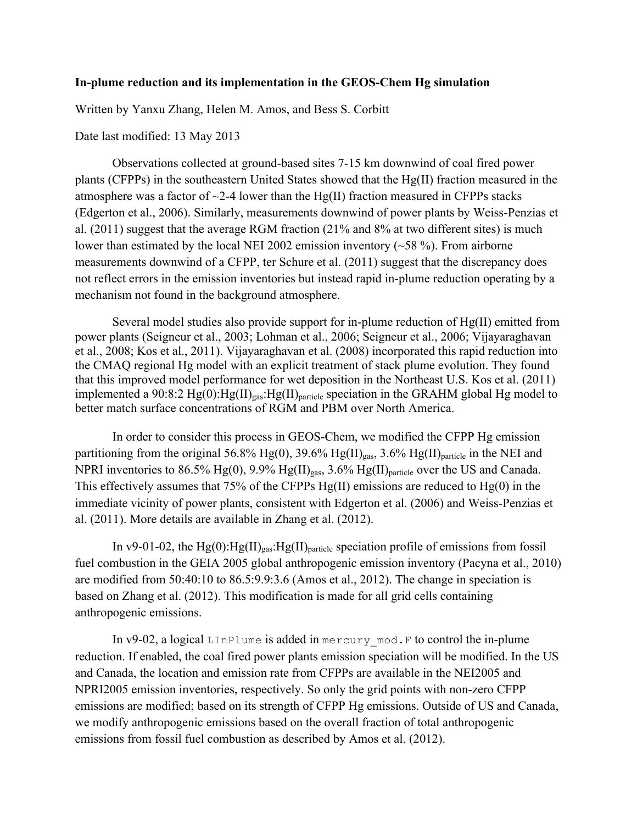## **In-plume reduction and its implementation in the GEOS-Chem Hg simulation**

Written by Yanxu Zhang, Helen M. Amos, and Bess S. Corbitt

## Date last modified: 13 May 2013

Observations collected at ground-based sites 7-15 km downwind of coal fired power plants (CFPPs) in the southeastern United States showed that the Hg(II) fraction measured in the atmosphere was a factor of  $\sim$ 2-4 lower than the Hg(II) fraction measured in CFPPs stacks (Edgerton et al., 2006). Similarly, measurements downwind of power plants by Weiss-Penzias et al. (2011) suggest that the average RGM fraction (21% and 8% at two different sites) is much lower than estimated by the local NEI 2002 emission inventory (~58 %). From airborne measurements downwind of a CFPP, ter Schure et al. (2011) suggest that the discrepancy does not reflect errors in the emission inventories but instead rapid in-plume reduction operating by a mechanism not found in the background atmosphere.

Several model studies also provide support for in-plume reduction of  $Hg(II)$  emitted from power plants (Seigneur et al., 2003; Lohman et al., 2006; Seigneur et al., 2006; Vijayaraghavan et al., 2008; Kos et al., 2011). Vijayaraghavan et al. (2008) incorporated this rapid reduction into the CMAQ regional Hg model with an explicit treatment of stack plume evolution. They found that this improved model performance for wet deposition in the Northeast U.S. Kos et al. (2011) implemented a 90:8:2 Hg(0):Hg(II)<sub>gas</sub>:Hg(II)<sub>particle</sub> speciation in the GRAHM global Hg model to better match surface concentrations of RGM and PBM over North America.

In order to consider this process in GEOS-Chem, we modified the CFPP Hg emission partitioning from the original 56.8% Hg(0), 39.6% Hg(II)<sub>gas</sub>, 3.6% Hg(II)<sub>particle</sub> in the NEI and NPRI inventories to 86.5% Hg(0), 9.9% Hg(II) $_{gas}$ , 3.6% Hg(II) $_{particle}$  over the US and Canada. This effectively assumes that 75% of the CFPPs Hg(II) emissions are reduced to Hg(0) in the immediate vicinity of power plants, consistent with Edgerton et al. (2006) and Weiss-Penzias et al. (2011). More details are available in Zhang et al. (2012).

In v9-01-02, the  $Hg(0)$ :  $Hg(II)_{\text{gas}}$ :  $Hg(II)_{\text{particle}}$  speciation profile of emissions from fossil fuel combustion in the GEIA 2005 global anthropogenic emission inventory (Pacyna et al., 2010) are modified from 50:40:10 to 86.5:9.9:3.6 (Amos et al., 2012). The change in speciation is based on Zhang et al. (2012). This modification is made for all grid cells containing anthropogenic emissions.

In v9-02, a logical LInPlume is added in mercury mod. F to control the in-plume reduction. If enabled, the coal fired power plants emission speciation will be modified. In the US and Canada, the location and emission rate from CFPPs are available in the NEI2005 and NPRI2005 emission inventories, respectively. So only the grid points with non-zero CFPP emissions are modified; based on its strength of CFPP Hg emissions. Outside of US and Canada, we modify anthropogenic emissions based on the overall fraction of total anthropogenic emissions from fossil fuel combustion as described by Amos et al. (2012).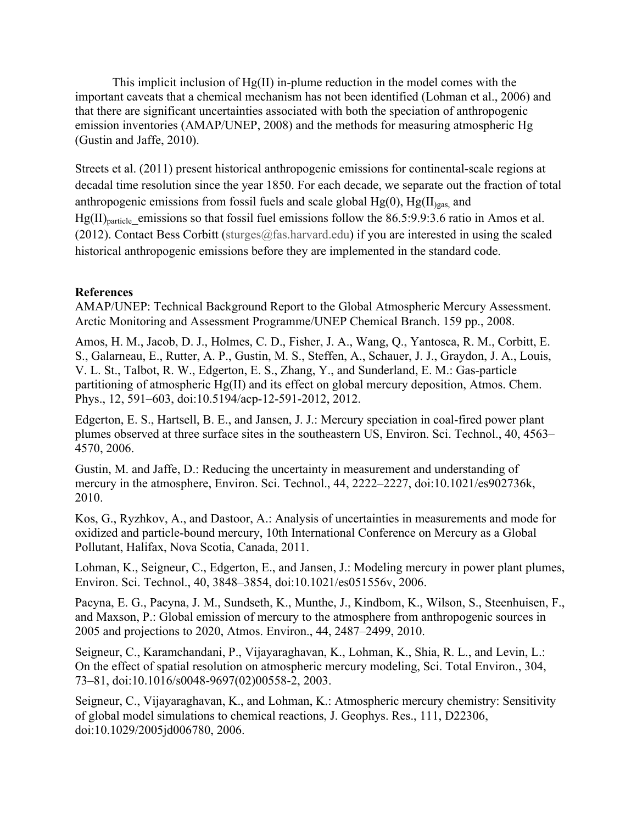This implicit inclusion of Hg(II) in-plume reduction in the model comes with the important caveats that a chemical mechanism has not been identified (Lohman et al., 2006) and that there are significant uncertainties associated with both the speciation of anthropogenic emission inventories (AMAP/UNEP, 2008) and the methods for measuring atmospheric Hg (Gustin and Jaffe, 2010).

Streets et al. (2011) present historical anthropogenic emissions for continental-scale regions at decadal time resolution since the year 1850. For each decade, we separate out the fraction of total anthropogenic emissions from fossil fuels and scale global  $Hg(0)$ ,  $Hg(H)_{gas}$  and  $Hg(II)_{\text{particle}}$  emissions so that fossil fuel emissions follow the 86.5:9.9:3.6 ratio in Amos et al. (2012). Contact Bess Corbitt (sturges@fas.harvard.edu) if you are interested in using the scaled historical anthropogenic emissions before they are implemented in the standard code.

## **References**

AMAP/UNEP: Technical Background Report to the Global Atmospheric Mercury Assessment. Arctic Monitoring and Assessment Programme/UNEP Chemical Branch. 159 pp., 2008.

Amos, H. M., Jacob, D. J., Holmes, C. D., Fisher, J. A., Wang, Q., Yantosca, R. M., Corbitt, E. S., Galarneau, E., Rutter, A. P., Gustin, M. S., Steffen, A., Schauer, J. J., Graydon, J. A., Louis, V. L. St., Talbot, R. W., Edgerton, E. S., Zhang, Y., and Sunderland, E. M.: Gas-particle partitioning of atmospheric Hg(II) and its effect on global mercury deposition, Atmos. Chem. Phys., 12, 591–603, doi:10.5194/acp-12-591-2012, 2012.

Edgerton, E. S., Hartsell, B. E., and Jansen, J. J.: Mercury speciation in coal-fired power plant plumes observed at three surface sites in the southeastern US, Environ. Sci. Technol., 40, 4563– 4570, 2006.

Gustin, M. and Jaffe, D.: Reducing the uncertainty in measurement and understanding of mercury in the atmosphere, Environ. Sci. Technol., 44, 2222–2227, doi:10.1021/es902736k, 2010.

Kos, G., Ryzhkov, A., and Dastoor, A.: Analysis of uncertainties in measurements and mode for oxidized and particle-bound mercury, 10th International Conference on Mercury as a Global Pollutant, Halifax, Nova Scotia, Canada, 2011.

Lohman, K., Seigneur, C., Edgerton, E., and Jansen, J.: Modeling mercury in power plant plumes, Environ. Sci. Technol., 40, 3848–3854, doi:10.1021/es051556v, 2006.

Pacyna, E. G., Pacyna, J. M., Sundseth, K., Munthe, J., Kindbom, K., Wilson, S., Steenhuisen, F., and Maxson, P.: Global emission of mercury to the atmosphere from anthropogenic sources in 2005 and projections to 2020, Atmos. Environ., 44, 2487–2499, 2010.

Seigneur, C., Karamchandani, P., Vijayaraghavan, K., Lohman, K., Shia, R. L., and Levin, L.: On the effect of spatial resolution on atmospheric mercury modeling, Sci. Total Environ., 304, 73–81, doi:10.1016/s0048-9697(02)00558-2, 2003.

Seigneur, C., Vijayaraghavan, K., and Lohman, K.: Atmospheric mercury chemistry: Sensitivity of global model simulations to chemical reactions, J. Geophys. Res., 111, D22306, doi:10.1029/2005jd006780, 2006.